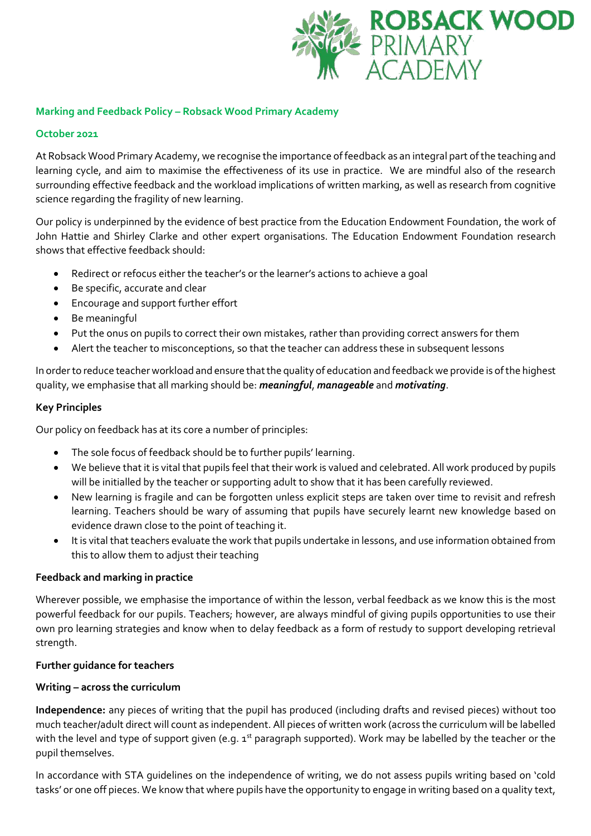

# **Marking and Feedback Policy – Robsack Wood Primary Academy**

## **October 2021**

At Robsack Wood Primary Academy, we recognise the importance of feedback as an integral part of the teaching and learning cycle, and aim to maximise the effectiveness of its use in practice. We are mindful also of the research surrounding effective feedback and the workload implications of written marking, as well as research from cognitive science regarding the fragility of new learning.

Our policy is underpinned by the evidence of best practice from the Education Endowment Foundation, the work of John Hattie and Shirley Clarke and other expert organisations. The Education Endowment Foundation research shows that effective feedback should:

- Redirect or refocus either the teacher's or the learner's actions to achieve a goal
- Be specific, accurate and clear
- Encourage and support further effort
- Be meaningful
- Put the onus on pupils to correct their own mistakes, rather than providing correct answers for them
- Alert the teacher to misconceptions, so that the teacher can address these in subsequent lessons

In order to reduce teacher workload and ensure that the quality of education and feedback we provide is of the highest quality, we emphasise that all marking should be: *meaningful*, *manageable* and *motivating*.

#### **Key Principles**

Our policy on feedback has at its core a number of principles:

- The sole focus of feedback should be to further pupils' learning.
- We believe that it is vital that pupils feel that their work is valued and celebrated. All work produced by pupils will be initialled by the teacher or supporting adult to show that it has been carefully reviewed.
- New learning is fragile and can be forgotten unless explicit steps are taken over time to revisit and refresh learning. Teachers should be wary of assuming that pupils have securely learnt new knowledge based on evidence drawn close to the point of teaching it.
- It is vital that teachers evaluate the work that pupils undertake in lessons, and use information obtained from this to allow them to adjust their teaching

## **Feedback and marking in practice**

Wherever possible, we emphasise the importance of within the lesson, verbal feedback as we know this is the most powerful feedback for our pupils. Teachers; however, are always mindful of giving pupils opportunities to use their own pro learning strategies and know when to delay feedback as a form of restudy to support developing retrieval strength.

## **Further guidance for teachers**

#### **Writing – across the curriculum**

**Independence:** any pieces of writing that the pupil has produced (including drafts and revised pieces) without too much teacher/adult direct will count as independent. All pieces of written work (across the curriculum will be labelled with the level and type of support given (e.g. 1<sup>st</sup> paragraph supported). Work may be labelled by the teacher or the pupil themselves.

In accordance with STA guidelines on the independence of writing, we do not assess pupils writing based on 'cold tasks' or one off pieces. We know that where pupils have the opportunity to engage in writing based on a quality text,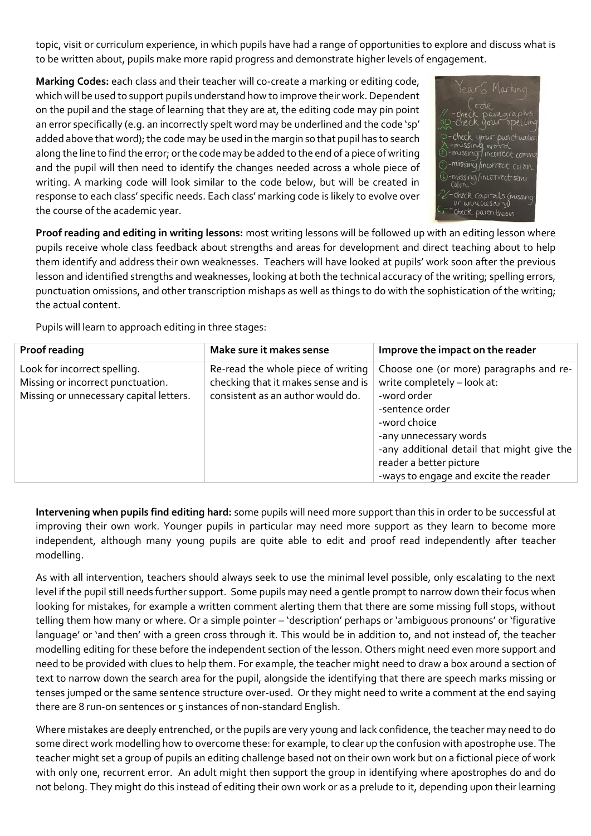topic, visit or curriculum experience, in which pupils have had a range of opportunities to explore and discuss what is to be written about, pupils make more rapid progress and demonstrate higher levels of engagement.

**Marking Codes:** each class and their teacher will co-create a marking or editing code, which will be used to support pupils understand how to improve their work. Dependent on the pupil and the stage of learning that they are at, the editing code may pin point an error specifically (e.g. an incorrectly spelt word may be underlined and the code 'sp' added above that word); the code may be used in the margin so that pupil has to search along the line to find the error; or the code may be added to the end of a piece of writing and the pupil will then need to identify the changes needed across a whole piece of writing. A marking code will look similar to the code below, but will be created in response to each class' specific needs. Each class' marking code is likely to evolve over the course of the academic year.



**Proof reading and editing in writing lessons:** most writing lessons will be followed up with an editing lesson where pupils receive whole class feedback about strengths and areas for development and direct teaching about to help them identify and address their own weaknesses. Teachers will have looked at pupils' work soon after the previous lesson and identified strengths and weaknesses, looking at both the technical accuracy of the writing; spelling errors, punctuation omissions, and other transcription mishaps as well as things to do with the sophistication of the writing; the actual content.

Pupils will learn to approach editing in three stages:

| Proof reading                                                                                                | Make sure it makes sense                                                                                       | Improve the impact on the reader                                                                                                                                                                                                                                     |
|--------------------------------------------------------------------------------------------------------------|----------------------------------------------------------------------------------------------------------------|----------------------------------------------------------------------------------------------------------------------------------------------------------------------------------------------------------------------------------------------------------------------|
| Look for incorrect spelling.<br>Missing or incorrect punctuation.<br>Missing or unnecessary capital letters. | Re-read the whole piece of writing<br>checking that it makes sense and is<br>consistent as an author would do. | Choose one (or more) paragraphs and re-<br>write completely - look at:<br>-word order<br>-sentence order<br>-word choice<br>-any unnecessary words<br>-any additional detail that might give the<br>reader a better picture<br>-ways to engage and excite the reader |

**Intervening when pupils find editing hard:** some pupils will need more support than this in order to be successful at improving their own work. Younger pupils in particular may need more support as they learn to become more independent, although many young pupils are quite able to edit and proof read independently after teacher modelling.

As with all intervention, teachers should always seek to use the minimal level possible, only escalating to the next level if the pupil still needs further support. Some pupils may need a gentle prompt to narrow down their focus when looking for mistakes, for example a written comment alerting them that there are some missing full stops, without telling them how many or where. Or a simple pointer – 'description' perhaps or 'ambiguous pronouns' or 'figurative language' or 'and then' with a green cross through it. This would be in addition to, and not instead of, the teacher modelling editing for these before the independent section of the lesson. Others might need even more support and need to be provided with clues to help them. For example, the teacher might need to draw a box around a section of text to narrow down the search area for the pupil, alongside the identifying that there are speech marks missing or tenses jumped or the same sentence structure over-used. Or they might need to write a comment at the end saying there are 8 run-on sentences or 5 instances of non-standard English.

Where mistakes are deeply entrenched, or the pupils are very young and lack confidence, the teacher may need to do some direct work modelling how to overcome these: for example, to clear up the confusion with apostrophe use. The teacher might set a group of pupils an editing challenge based not on their own work but on a fictional piece of work with only one, recurrent error. An adult might then support the group in identifying where apostrophes do and do not belong. They might do this instead of editing their own work or as a prelude to it, depending upon their learning